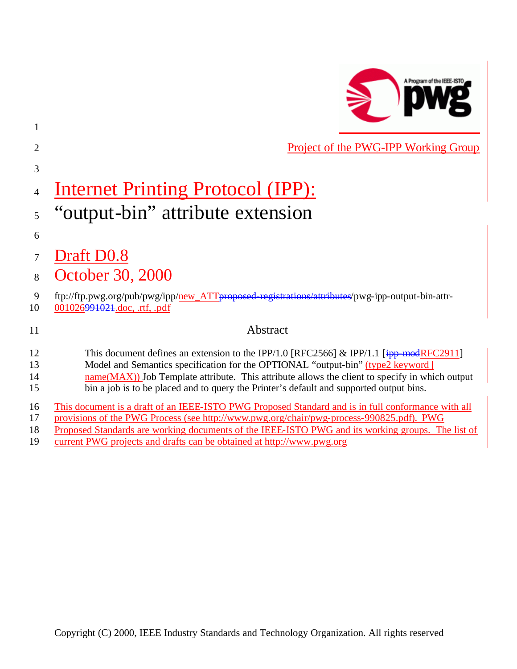

| $\overline{2}$       | Project of the PWG-IPP Working Group                                                                                                                                                                                                                                                                                                                                                    |
|----------------------|-----------------------------------------------------------------------------------------------------------------------------------------------------------------------------------------------------------------------------------------------------------------------------------------------------------------------------------------------------------------------------------------|
| 3                    |                                                                                                                                                                                                                                                                                                                                                                                         |
| 4                    | <u>Internet Printing Protocol (IPP):</u>                                                                                                                                                                                                                                                                                                                                                |
| 5                    | "output-bin" attribute extension                                                                                                                                                                                                                                                                                                                                                        |
| 6                    |                                                                                                                                                                                                                                                                                                                                                                                         |
| 7                    | Draft D0.8                                                                                                                                                                                                                                                                                                                                                                              |
| 8                    | October 30, 2000                                                                                                                                                                                                                                                                                                                                                                        |
| 9<br>10              | ftp://ftp.pwg.org/pub/pwg/ipp/new_ATTproposed-registrations/attributes/pwg-ipp-output-bin-attr-<br>001026991021.doc, .rtf, .pdf                                                                                                                                                                                                                                                         |
| 11                   | Abstract                                                                                                                                                                                                                                                                                                                                                                                |
| 12<br>13<br>14<br>15 | This document defines an extension to the IPP/1.0 [RFC2566] & IPP/1.1 [ $\frac{1}{1}$ PP—modRFC2911]<br>Model and Semantics specification for the OPTIONAL "output-bin" (type2 keyword  <br>$name(MAX))$ Job Template attribute. This attribute allows the client to specify in which output<br>bin a job is to be placed and to query the Printer's default and supported output bins. |
| 16<br>17<br>18<br>19 | This document is a draft of an IEEE-ISTO PWG Proposed Standard and is in full conformance with all<br>provisions of the PWG Process (see http://www.pwg.org/chair/pwg-process-990825.pdf). PWG<br>Proposed Standards are working documents of the IEEE-ISTO PWG and its working groups. The list of<br>current PWG projects and drafts can be obtained at http://www.pwg.org            |

1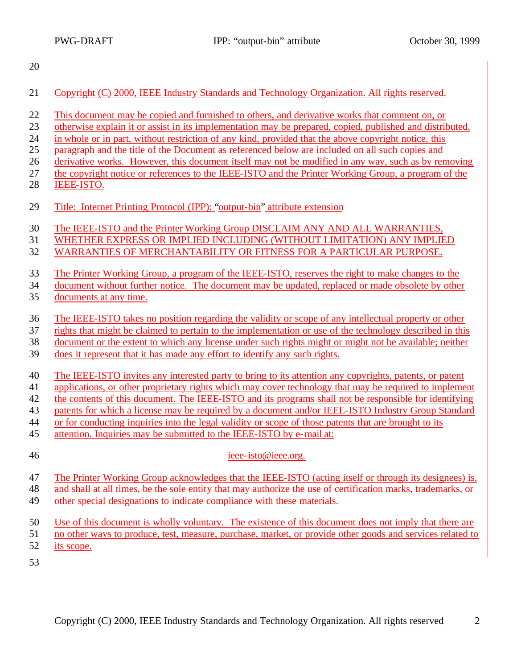- 
- Copyright (C) 2000, IEEE Industry Standards and Technology Organization. All rights reserved.
- This document may be copied and furnished to others, and derivative works that comment on, or
- otherwise explain it or assist in its implementation may be prepared, copied, published and distributed,
- in whole or in part, without restriction of any kind, provided that the above copyright notice, this
- paragraph and the title of the Document as referenced below are included on all such copies and
- derivative works. However, this document itself may not be modified in any way, such as by removing
- the copyright notice or references to the IEEE-ISTO and the Printer Working Group, a program of the IEEE-ISTO.
- Title: Internet Printing Protocol (IPP): "output-bin" attribute extension
- The IEEE-ISTO and the Printer Working Group DISCLAIM ANY AND ALL WARRANTIES,
- WHETHER EXPRESS OR IMPLIED INCLUDING (WITHOUT LIMITATION) ANY IMPLIED
- WARRANTIES OF MERCHANTABILITY OR FITNESS FOR A PARTICULAR PURPOSE.
- The Printer Working Group, a program of the IEEE-ISTO, reserves the right to make changes to the

document without further notice. The document may be updated, replaced or made obsolete by other

- documents at any time.
- The IEEE-ISTO takes no position regarding the validity or scope of any intellectual property or other
- rights that might be claimed to pertain to the implementation or use of the technology described in this
- document or the extent to which any license under such rights might or might not be available; neither
- does it represent that it has made any effort to identify any such rights.
- The IEEE-ISTO invites any interested party to bring to its attention any copyrights, patents, or patent
- applications, or other proprietary rights which may cover technology that may be required to implement
- the contents of this document. The IEEE-ISTO and its programs shall not be responsible for identifying
- patents for which a license may be required by a document and/or IEEE-ISTO Industry Group Standard
- or for conducting inquiries into the legal validity or scope of those patents that are brought to its
- attention. Inquiries may be submitted to the IEEE-ISTO by e-mail at:
- 

### ieee-isto@ieee.org.

- The Printer Working Group acknowledges that the IEEE-ISTO (acting itself or through its designees) is,
- and shall at all times, be the sole entity that may authorize the use of certification marks, trademarks, or
- other special designations to indicate compliance with these materials.
- Use of this document is wholly voluntary. The existence of this document does not imply that there are
- no other ways to produce, test, measure, purchase, market, or provide other goods and services related to
- its scope.
-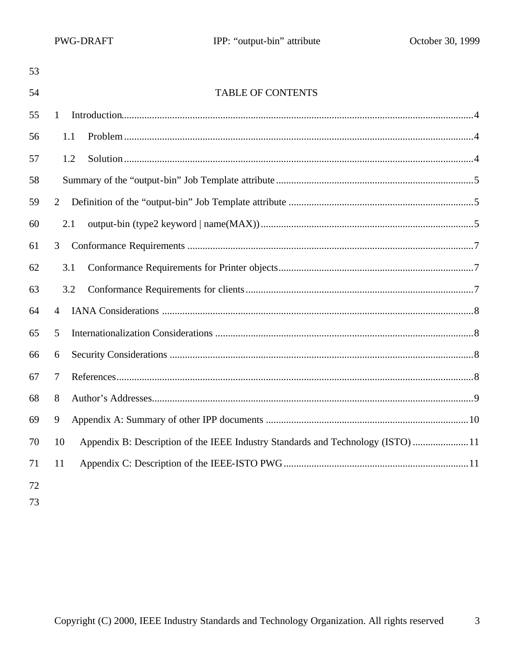| 53 |                                                                                       |  |
|----|---------------------------------------------------------------------------------------|--|
| 54 | <b>TABLE OF CONTENTS</b>                                                              |  |
| 55 | 1                                                                                     |  |
| 56 | 1.1                                                                                   |  |
| 57 | 1.2                                                                                   |  |
| 58 |                                                                                       |  |
| 59 | $\overline{2}$                                                                        |  |
| 60 | 2.1                                                                                   |  |
| 61 | 3                                                                                     |  |
| 62 | 3.1                                                                                   |  |
| 63 | 3.2                                                                                   |  |
| 64 | $\overline{4}$                                                                        |  |
| 65 | 5                                                                                     |  |
| 66 | 6                                                                                     |  |
| 67 | 7                                                                                     |  |
| 68 | 8                                                                                     |  |
| 69 | 9                                                                                     |  |
| 70 | Appendix B: Description of the IEEE Industry Standards and Technology (ISTO) 11<br>10 |  |
| 71 | 11                                                                                    |  |
| 72 |                                                                                       |  |
| 73 |                                                                                       |  |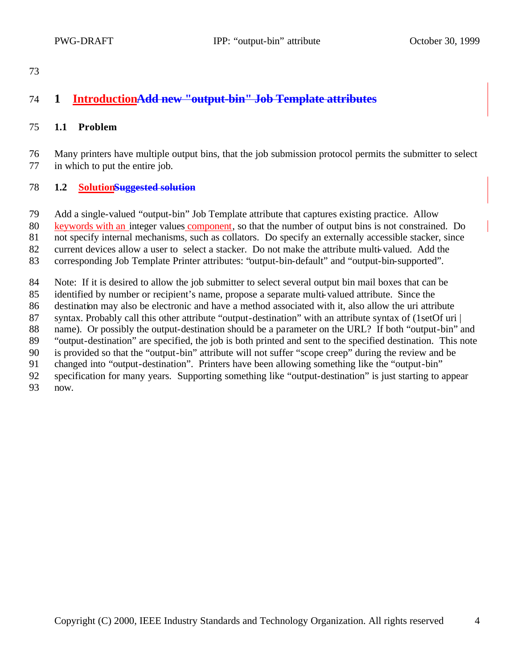# **1 IntroductionAdd new "output-bin" Job Template attributes**

#### **1.1 Problem**

 Many printers have multiple output bins, that the job submission protocol permits the submitter to select in which to put the entire job.

#### **1.2 SolutionSuggested solution**

Add a single-valued "output-bin" Job Template attribute that captures existing practice. Allow

keywords with an integer values component, so that the number of output bins is not constrained. Do

not specify internal mechanisms, such as collators. Do specify an externally accessible stacker, since

current devices allow a user to select a stacker. Do not make the attribute multi-valued. Add the

corresponding Job Template Printer attributes: "output-bin-default" and "output-bin-supported".

Note: If it is desired to allow the job submitter to select several output bin mail boxes that can be

- identified by number or recipient's name, propose a separate multi-valued attribute. Since the
- destination may also be electronic and have a method associated with it, also allow the uri attribute
- syntax. Probably call this other attribute "output-destination" with an attribute syntax of (1setOf uri |

name). Or possibly the output-destination should be a parameter on the URL? If both "output-bin" and

 "output-destination" are specified, the job is both printed and sent to the specified destination. This note is provided so that the "output-bin" attribute will not suffer "scope creep" during the review and be

changed into "output-destination". Printers have been allowing something like the "output-bin"

specification for many years. Supporting something like "output-destination" is just starting to appear

now.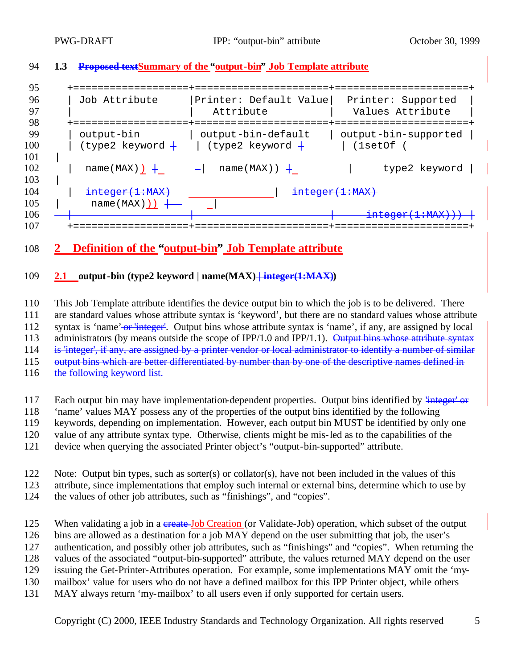**1.3 Proposed textSummary of the "output-bin" Job Template attribute**

 +===================+======================+======================+ | Job Attribute |Printer: Default Value| Printer: Supported | | | Attribute | Values Attribute | +===================+======================+======================+ | output-bin | output-bin-default | output-bin-supported | 100 | (type2 keyword  $+$  | (type2 keyword  $+$  | (1setOf ( | | name(MAX))  $+$  - | name(MAX))  $+$  | type2 keyword | | 104 | <del>integer(1:MAX)</del> | integer(1:MAX) | name(MAX))) +  $+$   $\frac{1}{20}$   $+$   $\frac{1}{20}$   $+$   $\frac{1}{20}$   $+$   $\frac{1}{20}$   $+$   $\frac{1}{20}$   $+$   $\frac{1}{20}$   $+$   $\frac{1}{20}$   $+$   $\frac{1}{20}$   $+$   $\frac{1}{20}$   $+$   $\frac{1}{20}$   $+$   $\frac{1}{20}$   $+$   $\frac{1}{20}$   $+$   $\frac{1}{20}$   $+$   $\frac{1}{20}$  +===================+======================+======================+

## **2 Definition of the "output-bin" Job Template attribute**

#### **2.1 output-bin** (type2 keyword | name(MAX) + integer(1:MAX))

 This Job Template attribute identifies the device output bin to which the job is to be delivered. There are standard values whose attribute syntax is 'keyword', but there are no standard values whose attribute 112 syntax is 'name' or 'integer'. Output bins whose attribute syntax is 'name', if any, are assigned by local 113 administrators (by means outside the scope of IPP/1.0 and IPP/1.1). Output bins whose attribute syntax is 'integer', if any, are assigned by a printer vendor or local administrator to identify a number of similar 115 output bins which are better differentiated by number than by one of the descriptive names defined in

- 116 the following keyword list.
- 117 Each output bin may have implementation-dependent properties. Output bins identified by  $\frac{1}{2}$
- 'name' values MAY possess any of the properties of the output bins identified by the following
- keywords, depending on implementation. However, each output bin MUST be identified by only one
- value of any attribute syntax type. Otherwise, clients might be mis-led as to the capabilities of the
- device when querying the associated Printer object's "output-bin-supported" attribute.
- Note: Output bin types, such as sorter(s) or collator(s), have not been included in the values of this
- attribute, since implementations that employ such internal or external bins, determine which to use by
- the values of other job attributes, such as "finishings", and "copies".
- 125 When validating a job in a create Job Creation (or Validate-Job) operation, which subset of the output bins are allowed as a destination for a job MAY depend on the user submitting that job, the user's authentication, and possibly other job attributes, such as "finishings" and "copies". When returning the values of the associated "output-bin-supported" attribute, the values returned MAY depend on the user issuing the Get-Printer-Attributes operation. For example, some implementations MAY omit the 'my-mailbox' value for users who do not have a defined mailbox for this IPP Printer object, while others
- MAY always return 'my-mailbox' to all users even if only supported for certain users.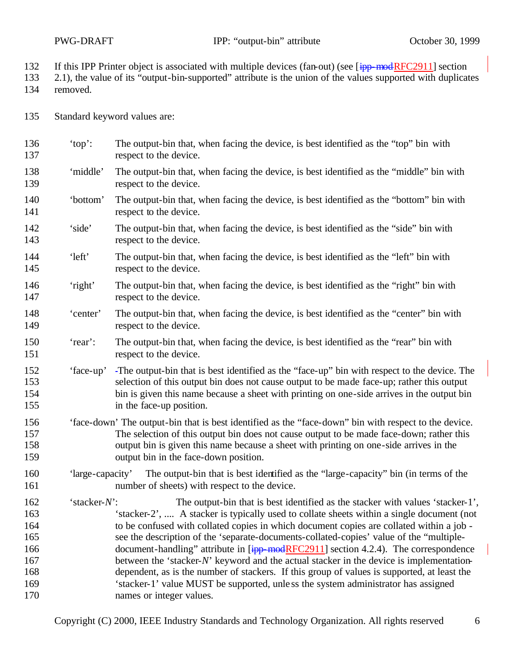- 132 If this IPP Printer object is associated with multiple devices (fan-out) (see [ipp-modRFC2911] section
- 2.1), the value of its "output-bin-supported" attribute is the union of the values supported with duplicates removed.
- Standard keyword values are:
- 'top': The output-bin that, when facing the device, is best identified as the "top" bin with 137 respect to the device.
- 'middle' The output-bin that, when facing the device, is best identified as the "middle" bin with 139 respect to the device.
- 'bottom' The output-bin that, when facing the device, is best identified as the "bottom" bin with 141 respect to the device.
- 'side' The output-bin that, when facing the device, is best identified as the "side" bin with respect to the device.
- 'left' The output-bin that, when facing the device, is best identified as the "left" bin with 145 respect to the device.
- 'right' The output-bin that, when facing the device, is best identified as the "right" bin with 147 respect to the device.
- 'center' The output-bin that, when facing the device, is best identified as the "center" bin with respect to the device.
- 'rear': The output-bin that, when facing the device, is best identified as the "rear" bin with 151 respect to the device.
- 'face-up' The output-bin that is best identified as the "face-up" bin with respect to the device. The selection of this output bin does not cause output to be made face-up; rather this output 154 bin is given this name because a sheet with printing on one-side arrives in the output bin in the face-up position.
- 'face-down' The output-bin that is best identified as the "face-down" bin with respect to the device. The selection of this output bin does not cause output to be made face-down; rather this output bin is given this name because a sheet with printing on one-side arrives in the output bin in the face-down position.
- 'large-capacity' The output-bin that is best identified as the "large-capacity" bin (in terms of the 161 number of sheets) with respect to the device.
- 'stacker-*N*': The output-bin that is best identified as the stacker with values 'stacker-1', 'stacker-2', .... A stacker is typically used to collate sheets within a single document (not to be confused with collated copies in which document copies are collated within a job - see the description of the 'separate-documents-collated-copies' value of the "multiple-166 document-handling" attribute in [ipp-modRFC2911] section 4.2.4). The correspondence 167 between the 'stacker-*N*' keyword and the actual stacker in the device is implementation- dependent, as is the number of stackers. If this group of values is supported, at least the 'stacker-1' value MUST be supported, unle ss the system administrator has assigned names or integer values.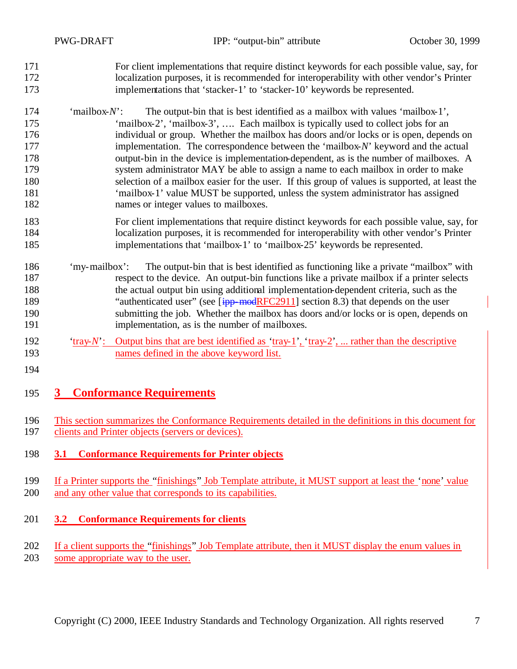|                                                             | <b>PWG-DRAFT</b>                                                                                                                                           | IPP: "output-bin" attribute                                                                                                                                                                                                                                                                                                                                                                                                                                                                                                                                                                                                                                                                                                                                         | October 30, 1999 |  |
|-------------------------------------------------------------|------------------------------------------------------------------------------------------------------------------------------------------------------------|---------------------------------------------------------------------------------------------------------------------------------------------------------------------------------------------------------------------------------------------------------------------------------------------------------------------------------------------------------------------------------------------------------------------------------------------------------------------------------------------------------------------------------------------------------------------------------------------------------------------------------------------------------------------------------------------------------------------------------------------------------------------|------------------|--|
| 171<br>172<br>173                                           |                                                                                                                                                            | For client implementations that require distinct keywords for each possible value, say, for<br>localization purposes, it is recommended for interoperability with other vendor's Printer<br>implementations that 'stacker-1' to 'stacker-10' keywords be represented.                                                                                                                                                                                                                                                                                                                                                                                                                                                                                               |                  |  |
| 174<br>175<br>176<br>177<br>178<br>179<br>180<br>181<br>182 | 'mailbox- $N$ .                                                                                                                                            | The output-bin that is best identified as a mailbox with values 'mailbox-1',<br>'mailbox-2', 'mailbox-3',  Each mailbox is typically used to collect jobs for an<br>individual or group. Whether the mailbox has doors and/or locks or is open, depends on<br>implementation. The correspondence between the 'mailbox- $N$ ' keyword and the actual<br>output-bin in the device is implementation-dependent, as is the number of mailboxes. A<br>system administrator MAY be able to assign a name to each mailbox in order to make<br>selection of a mailbox easier for the user. If this group of values is supported, at least the<br>'mailbox-1' value MUST be supported, unless the system administrator has assigned<br>names or integer values to mailboxes. |                  |  |
| 183<br>184<br>185                                           |                                                                                                                                                            | For client implementations that require distinct keywords for each possible value, say, for<br>localization purposes, it is recommended for interoperability with other vendor's Printer<br>implementations that 'mailbox-1' to 'mailbox-25' keywords be represented.                                                                                                                                                                                                                                                                                                                                                                                                                                                                                               |                  |  |
| 186<br>187<br>188<br>189<br>190<br>191                      | 'my-mailbox':                                                                                                                                              | The output-bin that is best identified as functioning like a private "mailbox" with<br>respect to the device. An output-bin functions like a private mailbox if a printer selects<br>the actual output bin using additional implementation-dependent criteria, such as the<br>"authenticated user" (see [ipp-modRFC2911] section 8.3) that depends on the user<br>submitting the job. Whether the mailbox has doors and/or locks or is open, depends on<br>implementation, as is the number of mailboxes.                                                                                                                                                                                                                                                           |                  |  |
| 192<br>193<br>194                                           | 'tray- $N'$ :                                                                                                                                              | Output bins that are best identified as 'tray-1', 'tray-2',  rather than the descriptive<br>names defined in the above keyword list.                                                                                                                                                                                                                                                                                                                                                                                                                                                                                                                                                                                                                                |                  |  |
| 195                                                         | $\mathbf{3}$                                                                                                                                               | <b>Conformance Requirements</b>                                                                                                                                                                                                                                                                                                                                                                                                                                                                                                                                                                                                                                                                                                                                     |                  |  |
| 196<br>197                                                  | This section summarizes the Conformance Requirements detailed in the definitions in this document for<br>clients and Printer objects (servers or devices). |                                                                                                                                                                                                                                                                                                                                                                                                                                                                                                                                                                                                                                                                                                                                                                     |                  |  |

- **3.1 Conformance Requirements for Printer objects**
- If a Printer supports the "finishings" Job Template attribute, it MUST support at least the 'none' value and any other value that corresponds to its capabilities.
- **3.2 Conformance Requirements for clients**

202 If a client supports the "finishings" Job Template attribute, then it MUST display the enum values in some appropriate way to the user.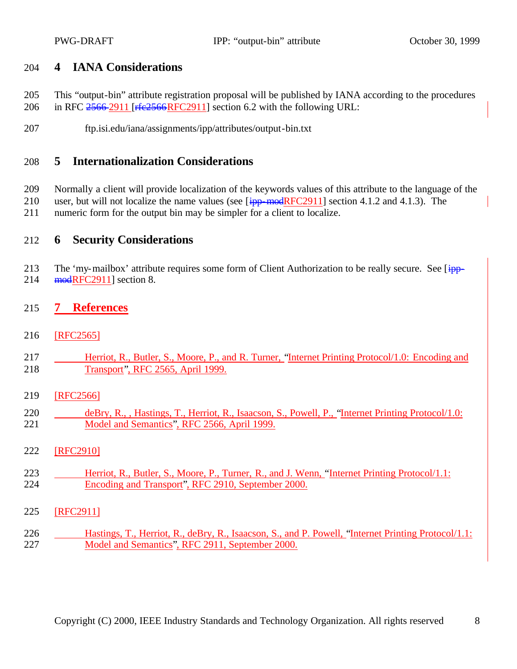### **4 IANA Considerations**

- This "output-bin" attribute registration proposal will be published by IANA according to the procedures 206 in RFC 2566-2911 [rfe2566RFC2911] section 6.2 with the following URL:
- ftp.isi.edu/iana/assignments/ipp/attributes/output-bin.txt

### **5 Internationalization Considerations**

Normally a client will provide localization of the keywords values of this attribute to the language of the

210 user, but will not localize the name values (see [ipp-modRFC2911] section 4.1.2 and 4.1.3). The numeric form for the output bin may be simpler for a client to localize.

#### **6 Security Considerations**

213 The 'my-mailbox' attribute requires some form of Client Authorization to be really secure. See [ipp-modRFC2911] section 8.

#### **7 References**

- [RFC2565]
- Herriot, R., Butler, S., Moore, P., and R. Turner, "Internet Printing Protocol/1.0: Encoding and Transport", RFC 2565, April 1999.
- [RFC2566]
- deBry, R., , Hastings, T., Herriot, R., Isaacson, S., Powell, P., "Internet Printing Protocol/1.0: Model and Semantics", RFC 2566, April 1999.
- [RFC2910]
- Herriot, R., Butler, S., Moore, P., Turner, R., and J. Wenn, "Internet Printing Protocol/1.1: Encoding and Transport", RFC 2910, September 2000.
- [RFC2911]
- Hastings, T., Herriot, R., deBry, R., Isaacson, S., and P. Powell, "Internet Printing Protocol/1.1: Model and Semantics", RFC 2911, September 2000.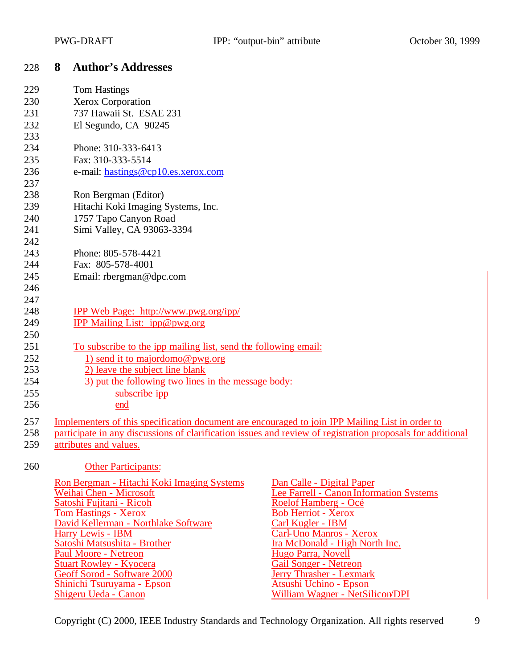| 228 | 8 Author's Addresses |  |
|-----|----------------------|--|
|     |                      |  |

| 229 | Tom Hastings                                                                                    |                                                                                                            |  |  |
|-----|-------------------------------------------------------------------------------------------------|------------------------------------------------------------------------------------------------------------|--|--|
| 230 | Xerox Corporation                                                                               |                                                                                                            |  |  |
| 231 | 737 Hawaii St. ESAE 231                                                                         |                                                                                                            |  |  |
| 232 | El Segundo, CA 90245                                                                            |                                                                                                            |  |  |
| 233 |                                                                                                 |                                                                                                            |  |  |
| 234 | Phone: 310-333-6413                                                                             |                                                                                                            |  |  |
| 235 | Fax: 310-333-5514                                                                               |                                                                                                            |  |  |
| 236 | e-mail: hastings@cp10.es.xerox.com                                                              |                                                                                                            |  |  |
| 237 |                                                                                                 |                                                                                                            |  |  |
| 238 | Ron Bergman (Editor)                                                                            |                                                                                                            |  |  |
| 239 | Hitachi Koki Imaging Systems, Inc.                                                              |                                                                                                            |  |  |
| 240 |                                                                                                 |                                                                                                            |  |  |
| 241 | 1757 Tapo Canyon Road<br>Simi Valley, CA 93063-3394                                             |                                                                                                            |  |  |
| 242 |                                                                                                 |                                                                                                            |  |  |
| 243 | Phone: 805-578-4421                                                                             |                                                                                                            |  |  |
| 244 |                                                                                                 |                                                                                                            |  |  |
|     | Fax: 805-578-4001                                                                               |                                                                                                            |  |  |
| 245 | Email: rbergman@dpc.com                                                                         |                                                                                                            |  |  |
| 246 |                                                                                                 |                                                                                                            |  |  |
| 247 |                                                                                                 |                                                                                                            |  |  |
| 248 | IPP Web Page: http://www.pwg.org/ipp/                                                           |                                                                                                            |  |  |
| 249 | IPP Mailing List: ipp@pwg.org                                                                   |                                                                                                            |  |  |
| 250 |                                                                                                 |                                                                                                            |  |  |
| 251 | To subscribe to the ipp mailing list, send the following email:                                 |                                                                                                            |  |  |
| 252 | 1) send it to majordomo@pwg.org                                                                 |                                                                                                            |  |  |
| 253 | 2) leave the subject line blank                                                                 |                                                                                                            |  |  |
| 254 | 3) put the following two lines in the message body:                                             |                                                                                                            |  |  |
| 255 | subscribe ipp                                                                                   |                                                                                                            |  |  |
| 256 | end                                                                                             |                                                                                                            |  |  |
| 257 | Implementers of this specification document are encouraged to join IPP Mailing List in order to |                                                                                                            |  |  |
| 258 |                                                                                                 | participate in any discussions of clarification issues and review of registration proposals for additional |  |  |
| 259 | attributes and values.                                                                          |                                                                                                            |  |  |
|     |                                                                                                 |                                                                                                            |  |  |
| 260 | <b>Other Participants:</b>                                                                      |                                                                                                            |  |  |
|     | Ron Bergman - Hitachi Koki Imaging Systems                                                      | Dan Calle - Digital Paper                                                                                  |  |  |
|     | Weihai Chen - Microsoft                                                                         | Lee Farrell - Canon Information Systems                                                                    |  |  |
|     | Satoshi Fujitani - Ricoh                                                                        | Roelof Hamberg - Océ                                                                                       |  |  |
|     | <b>Tom Hastings - Xerox</b>                                                                     | <b>Bob Herriot - Xerox</b>                                                                                 |  |  |
|     | David Kellerman - Northlake Software                                                            | Carl Kugler - IBM                                                                                          |  |  |
|     | Harry Lewis - IBM                                                                               | Carl-Uno Manros - Xerox                                                                                    |  |  |
|     | Satoshi Matsushita - Brother<br><b>Paul Moore - Netreon</b>                                     | Ira McDonald - High North Inc.<br>Hugo Parra, Novell                                                       |  |  |
|     | <b>Stuart Rowley - Kyocera</b>                                                                  | <b>Gail Songer - Netreon</b>                                                                               |  |  |
|     | Geoff Sorod - Software 2000                                                                     | <b>Jerry Thrasher - Lexmark</b>                                                                            |  |  |
|     | Shinichi Tsuruyama - Epson                                                                      | Atsushi Uchino - Epson                                                                                     |  |  |
|     | Shigeru Ueda - Canon                                                                            | William Wagner - NetSilicon/DPI                                                                            |  |  |

Copyright (C) 2000, IEEE Industry Standards and Technology Organization. All rights reserved 9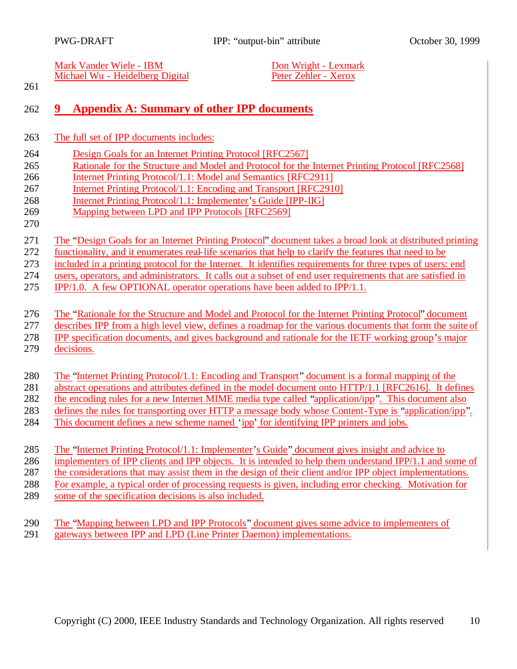Mark Vander Wiele - IBM<br>
Michael Wu - Heidelberg Digital<br>
Peter Zehler - Xerox Michael Wu - Heidelberg Digital

## **9 Appendix A: Summary of other IPP documents**

- The full set of IPP documents includes:
- Design Goals for an Internet Printing Protocol [RFC2567]
- Rationale for the Structure and Model and Protocol for the Internet Printing Protocol [RFC2568]
- Internet Printing Protocol/1.1: Model and Semantics [RFC2911]
- Internet Printing Protocol/1.1: Encoding and Transport [RFC2910]
- Internet Printing Protocol/1.1: Implementer's Guide [IPP-IIG]
- Mapping between LPD and IPP Protocols [RFC2569]
- 

- 271 The "Design Goals for an Internet Printing Protocol" document takes a broad look at distributed printing<br>272 functionality, and it enumerates real-life scenarios that help to clarify the features that need to be
- functionality, and it enumerates real-life scenarios that help to clarify the features that need to be
- included in a printing protocol for the Internet. It identifies requirements for three types of users: end
- users, operators, and administrators. It calls out a subset of end user requirements that are satisfied in
- IPP/1.0. A few OPTIONAL operator operations have been added to IPP/1.1.

### The "Rationale for the Structure and Model and Protocol for the Internet Printing Protocol" document

- describes IPP from a high level view, defines a roadmap for the various documents that form the suite of
- IPP specification documents, and gives background and rationale for the IETF working group's major
- decisions.

### The "Internet Printing Protocol/1.1: Encoding and Transport" document is a formal mapping of the

- abstract operations and attributes defined in the model document onto HTTP/1.1 [RFC2616]. It defines
- the encoding rules for a new Internet MIME media type called "application/ipp". This document also
- defines the rules for transporting over HTTP a message body whose Content-Type is "application/ipp".
- This document defines a new scheme named 'ipp' for identifying IPP printers and jobs.
- The "Internet Printing Protocol/1.1: Implementer's Guide" document gives insight and advice to
- implementers of IPP clients and IPP objects. It is intended to help them understand IPP/1.1 and some of
- the considerations that may assist them in the design of their client and/or IPP object implementations.
- For example, a typical order of processing requests is given, including error checking. Motivation for
- some of the specification decisions is also included.
- The "Mapping between LPD and IPP Protocols" document gives some advice to implementers of gateways between IPP and LPD (Line Printer Daemon) implementations.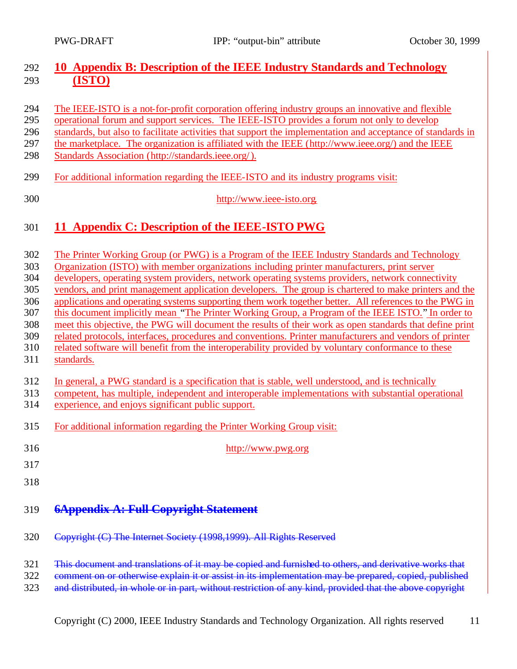### **10 Appendix B: Description of the IEEE Industry Standards and Technology (ISTO)**

- The IEEE-ISTO is a not-for-profit corporation offering industry groups an innovative and flexible
- operational forum and support services. The IEEE-ISTO provides a forum not only to develop
- standards, but also to facilitate activities that support the implementation and acceptance of standards in
- the marketplace. The organization is affiliated with the IEEE (http://www.ieee.org/) and the IEEE
- Standards Association (http://standards.ieee.org/).
- For additional information regarding the IEEE-ISTO and its industry programs visit:
- http://www.ieee-isto.org.

## **11 Appendix C: Description of the IEEE-ISTO PWG**

- The Printer Working Group (or PWG) is a Program of the IEEE Industry Standards and Technology
- Organization (ISTO) with member organizations including printer manufacturers, print server
- developers, operating system providers, network operating systems providers, network connectivity
- vendors, and print management application developers. The group is chartered to make printers and the
- applications and operating systems supporting them work together better. All references to the PWG in
- this document implicitly mean "The Printer Working Group, a Program of the IEEE ISTO." In order to
- meet this objective, the PWG will document the results of their work as open standards that define print related protocols, interfaces, procedures and conventions. Printer manufacturers and vendors of printer
- related software will benefit from the interoperability provided by voluntary conformance to these
- standards.
- In general, a PWG standard is a specification that is stable, well understood, and is technically

competent, has multiple, independent and interoperable implementations with substantial operational

- experience, and enjoys significant public support.
- For additional information regarding the Printer Working Group visit:
- http://www.pwg.org
- 
- 
- 

## **6Appendix A: Full Copyright Statement**

- Copyright (C) The Internet Society (1998,1999). All Rights Reserved
- This document and translations of it may be copied and furnished to others, and derivative works that
- comment on or otherwise explain it or assist in its implementation may be prepared, copied, published
- 323 and distributed, in whole or in part, without restriction of any kind, provided that the above copyright